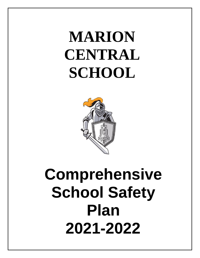# **MARION CENTRAL SCHOOL**



# **Comprehensive School Safety Plan 2021-2022**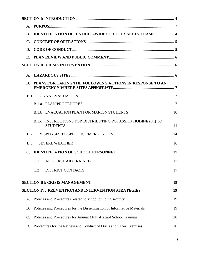| A.             |                                                                                    |    |
|----------------|------------------------------------------------------------------------------------|----|
| <b>B.</b>      | <b>IDENTIFICATION OF DISTRICT-WIDE SCHOOL SAFETY TEAMS 4</b>                       |    |
| $\mathbf{C}$ . |                                                                                    |    |
| D.             |                                                                                    |    |
|                |                                                                                    |    |
|                |                                                                                    |    |
| A.             |                                                                                    |    |
| <b>B.</b>      | PLANS FOR TAKING THE FOLLOWING ACTIONS IN RESPONSE TO AN                           |    |
| B.1            |                                                                                    |    |
|                | <b>B.1.a PLAN/PROCEDURES</b>                                                       | 7  |
|                | <b>B.1.b EVACUATION PLAN FOR MARION STUDENTS</b>                                   | 10 |
|                | INSTRUCTIONS FOR DISTRIBUTING POTASSIUM IODINE (KI) TO<br>B.1.c<br><b>STUDENTS</b> | 11 |
| B.2            | RESPONSES TO SPECIFIC EMERGENCIES                                                  | 14 |
| B.3            | <b>SEVERE WEATHER</b>                                                              | 16 |
| $\mathbf{C}$ . | <b>IDENTIFICATION OF SCHOOL PERSONNEL</b>                                          | 17 |
|                | C.1 AED/FIRST AID TRAINED                                                          | 17 |
|                | C.2<br><b>DISTRICT CONTACTS</b>                                                    | 17 |
|                | <b>SECTION III: CRISIS MANAGEMENT</b>                                              | 19 |
|                | <b>SECTION IV: PREVENTION AND INTERVENTION STRATEGIES</b>                          | 19 |
| A.             | Policies and Procedures related to school building security                        | 19 |
| <b>B.</b>      | Policies and Procedures for the Dissemination of Informative Materials             | 19 |
| C.             | Policies and Procedures for Annual Multi-Hazard School Training                    | 20 |
| D.             | Procedures for the Review and Conduct of Drills and Other Exercises                | 20 |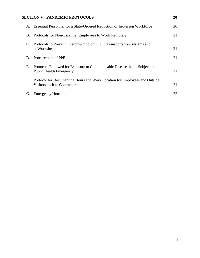# **SECTION V: PANDEMIC PROTOCOLS 20**

| A. | Essential Personnel for a State-Ordered Reduction of In-Person Workforce                                         | 20 |
|----|------------------------------------------------------------------------------------------------------------------|----|
| Β. | Protocols for Non-Essential Employees to Work Remotely                                                           | 21 |
|    | C. Protocols to Prevent Overcrowding on Public Transportation Systems and<br>at Worksites                        | 21 |
| D. | Procurement of PPE                                                                                               | 21 |
| Е. | Protocols Followed for Exposure to Communicable Disease that is Subject to the<br><b>Public Health Emergency</b> | 21 |
| F. | Protocol for Documenting Hours and Work Location for Employees and Outside<br>Visitors such as Contractors       | 21 |
| G. | <b>Emergency Housing</b>                                                                                         | 22 |
|    |                                                                                                                  |    |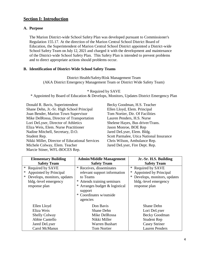# **Section I: Introduction**

#### **A. Purpose**

The Marion District-wide School Safety Plan was developed pursuant to Commissioner's Regulation 155.17. At the direction of the Marion Central School District Board of Education, the Superintendent of Marion Central School District appointed a District-wide School Safety Team on July 12, 2021 and charged it with the development and maintenance of the District-wide School Safety Plan. This Safety Plan is intended to prevent problems and to direct appropriate actions should problems occur.

#### **B. Identification of District-Wide School Safety Teams**

District Health/Safety/Risk Management Team (AKA District Emergency Management Team or District Wide Safety Team)

\* Required by SAVE \* Appointed by Board of Education & Develops, Monitors, Updates District Emergency Plan

| Donald R. Bavis, Superintendent                |
|------------------------------------------------|
| Shane Dehn, Jr.-Sr. High School Principal      |
| Joan Bender, Marion Town Supervisor            |
| Mike DelRossa, Director of Transportation      |
| Lori DeLyser, Director of Athletics            |
| Eliza Weis, Elem. Nurse Practitioner           |
| Nadine Mitchell, Secretary, D.O.               |
| Student Rep.                                   |
| Nikki Miller, Director of Educational Services |
| Michele Colway, Elem. Teacher                  |
| Marcie Stiner, WFL-BOCES Rep.                  |
|                                                |

Becky Goodman, H.S. Teacher Ellen Lloyd, Elem. Principal Tom Nortier, Dir. Of Facilities Lauren Penders, H.S. Nurse Shelene Hayes, Bus driver/Trans. Jason Monroe, BOE Rep. Jared DeLyser, Elem. Bldg. Scott Parmalee, Utica National Insurance Chris Wilson, Ambulance Rep. Jared DeLyser, Fire Dept. Rep.

| <b>Elementary Building</b>  | <b>Admin/Middle Management</b>               | Jr.-Sr. H.S. Building       |
|-----------------------------|----------------------------------------------|-----------------------------|
| <b>Safety Team</b>          | <b>Safety Team</b>                           | <b>Safety Team</b>          |
| $\ast$<br>Required by SAVE  | * Receives, disseminates                     | * Required by SAVE          |
| Appointed by Principal      | relevant support information                 | Appointed by Principal      |
| Develops, monitors, updates | to Teams                                     | Develops, monitors, updates |
| bldg.-level emergency       | * Attends training seminars                  | bldg.-level emergency       |
| response plan               | Arranges budget & logistical<br>∗<br>support | response plan               |
|                             | * Coordinates w/outside<br>agencies          |                             |
| Ellen Lloyd                 | Don Bavis                                    | <b>Shane Dehn</b>           |
| Eliza Weis                  | <b>Shane Dehn</b>                            | Lori DeLyser                |
| <b>Shelly Colway</b>        | Mike DelRossa                                | <b>Becky Goodman</b>        |
| Abbie Cantello              | Nikki Miller                                 | <b>Student Rep</b>          |
| Jared DeLyser               | Warren Bushart                               | <b>Casey Steiner</b>        |
| Carol McManus               | <b>Tom Nortier</b>                           | <b>Lauren Penders</b>       |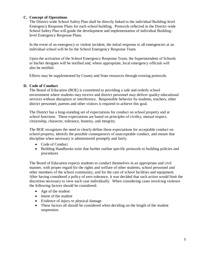# **C. Concept of Operations**

The District-wide School Safety Plan shall be directly linked to the individual Building-level Emergency Response Plans for each school building. Protocols reflected in the District-wide School Safety Plan will guide the development and implementation of individual Buildinglevel Emergency Response Plans.

In the event of an emergency or violent incident, the initial response to all emergencies at an individual school will be by the School Emergency Response Team.

Upon the activation of the School Emergency Response Team, the Superintendent of Schools or his/her designee will be notified and, where appropriate, local emergency officials will also be notified.

Efforts may be supplemented by County and State resources through existing protocols.

# **D. Code of Conduct**

The Board of Education (BOE) is committed to providing a safe and orderly school environment where students may receive and district personnel may deliver quality educational services without disruption or interference. Responsible behavior by students, teachers, other district personnel, parents and other visitors is required to achieve this goal.

The District has a long-standing set of expectations for conduct on school property and at school functions. These expectations are based on principles of civility, mutual respect, citizenship, character, tolerance, honesty, and integrity.

The BOE recognizes the need to clearly define these expectations for acceptable conduct on school property, identify the possible consequences of unacceptable conduct, and ensure that discipline when necessary is administered promptly and fairly.

- Code of Conduct
- Building Handbooks exist that further outline specific protocols to building policies and procedures

The Board of Education expects students to conduct themselves in an appropriate and civil manner, with proper regard for the rights and welfare of other students, school personnel and other members of the school community, and for the care of school facilities and equipment. After having considered a policy of zero tolerance, it was decided that such action would limit the discretion necessary to view each case individually. When considering cases involving violence the following factors should be considered:

- Age of the student
- Intent of the student
- Evidence of injury or physical damage
- These factors all should be considered when deciding on the length of the student suspension.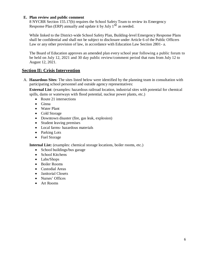#### **E. Plan review and public comment**

8 NYCRR Section 155.17(b) requires the School Safety Team to review its Emergency Response Plan (ERP) annually and update it by July  $1<sup>st</sup>$  as needed.

While linked to the District-wide School Safety Plan, Building-level Emergency Response Plans shall be confidential and shall not be subject to disclosure under Article 6 of the Public Officers Law or any other provision of law, in accordance with Education Law Section 2801- a.

The Board of Education approves an amended plan every school year following a public forum to be held on July 12, 2021 and 30 day public review/comment period that runs from July 12 to August 12, 2021.

# **Section II: Crisis Intervention**

A. **Hazardous Sites**: The sites listed below were identified by the planning team in consultation with participating school personnel and outside agency representatives:

**External List**: (examples: hazardous railroad location, industrial sites with potential for chemical spills, dams or waterways with flood potential, nuclear power plants, etc.)

- Route 21 intersections
- Ginna
- Water Plant
- Cold Storage
- Downtown disaster (fire, gas leak, explosion)
- Student leaving premises
- Local farms- hazardous materials
- Parking Lots
- Fuel Storage

**Internal List:** (examples: chemical storage locations, boiler rooms, etc.)

- School buildings/bus garage
- School Kitchens
- Labs/Shops
- Boiler Rooms
- Custodial Areas
- Janitorial Closets
- Nurses' Offices
- Art Rooms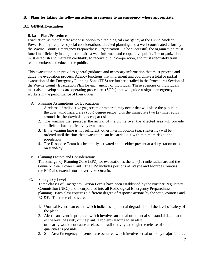### **B. Plans for taking the following actions in response to an emergency where appropriate:**

# **B.1 GINNA Evacuation**

# **B.1.a Plan/Procedures**

Evacuation, as the ultimate response option to a radiological emergency at the Ginna Nuclear Power Facility, requires special considerations, detailed planning and a well-coordinated effort by the Wayne County Emergency Preparedness Organization. To be successful, the organization must function efficiently in conjunction with a well-informed and cooperative public. The organization must establish and maintain credibility to receive public cooperation, and must adequately train team members and educate the public.

This evacuation plan provides general guidance and necessary information that must precede and guide the evacuation process. Agency functions that implement and coordinate a total or partial evacuation of the Emergency Planning Zone (EPZ) are further detailed in the Procedures Section of the Wayne County Evacuation Plan for each agency or individual. These agencies or individuals must also develop standard operating procedures (SOPs) that will guide assigned emergency workers in the performance of their duties.

- A. Planning Assumptions for Evacuations
	- 1. A release of radioactive gas, steam or material may occur that will place the public in the downwind hazard area (66½ degree sector) plus the immediate two (2) mile radius around the site (keyhole concept) at risk.
	- 2. The warning that precedes the arrival of the plume over the affected area will provide sufficient time to effectively evacuate.
	- 3. If the warning time is not sufficient, other interim options (e.g. sheltering) will be ordered until the time that evacuation can be carried out with minimum risk to the population.
	- 4. The Response Team has been fully activated and is either present at a duty station or is on stand-by.

#### B. Planning Factors and Considerations

The Emergency Planning Zone (EPZ) for evacuation is the ten (10) mile radius around the Ginna Nuclear Power Plant. The EPZ includes portions of Wayne and Monroe Counties; the EPZ also extends north over Lake Ontario.

C. Emergency Levels

Three classes of Emergency Action Levels have been established by the Nuclear Regulatory Commission (NRC) and incorporated into all Radiological Emergency Preparedness planning. Each class requires a different degree of response actions by the state, counties and RG&E. The three classes are:

- 1. Unusual Event an event, which indicates a potential degradation of the level of safety of the plant.
- 2. Alert an event in progress, which involves an actual or potential substantial degradation of the level of safety of the plant. Problems leading to an alert ordinarily would not cause a release of radioactivity although the release of small quantities is possible.
- 3. Site Area Emergency events have occurred which involve actual or likely major failures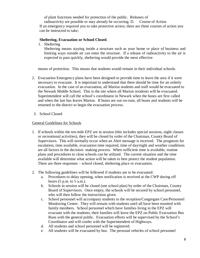of plant functions needed for protection of the public. Releases of

radioactivity are possible or may already be occurring. D. Course of Action If an emergency required you to take protective action, there are three courses of action you can be instructed to take:

#### **Sheltering, Evacuation or School Closed**.

1. Sheltering

Sheltering means staying inside a structure such as your home or place of business and limiting ways outside air can enter the structure. If a release of radioactivity to the air is expected to pass quickly, sheltering would provide the most effective

means of protection. This means that students would remain in their individual schools.

- 2. Evacuation Emergency plans have been designed to provide time to leave the area if it were necessary to evacuate. It is important to understand that there should be time for an orderly evacuation. In the case of an evacuation, all Marion students and staff would be evacuated to the Newark Middle School. This is the site where all Marion residents will be evacuated. Superintendent will call the school's coordinator in Newark when the buses are first called and when the last bus leaves Marion. If buses are out on-runs, all buses and students will be returned to the district to begin the evacuation process.
- 3. School Closed

#### General Guidelines for Schools

- 1. If schools within the ten-mile EPZ are in session (this includes special sessions, night classes or recreational activities), they will be closed by order of the Chairman, County Board of Supervisors. This will normally occur when an Alert message is received. The prognosis for escalation, time available, evacuation time required, time of day/night and weather conditions are all factors in the decision- making process. When sufficient time is available, routine plans and procedures to close schools can be utilized. The current situation and the time available will determine what action will be taken to best protect the student population. There are three responses – school closed, sheltering place or evacuation.
- 2. The following guidelines will be followed if students are to be evacuated:
	- a. Procedures to delay opening, when notification is received at the CWP during off hours (5 p.m. to 5 a.m.).
	- b. Schools in session will be closed (use school plan) by order of the Chairman, County Board of Supervisors. Once empty, the schools will be secured by school personnel, who will then follow the instructions given.
	- c. School personnel will accompany students to the reception/Congregate Care/Personnel Monitoring Center. They will remain with students until all have been reunited with family members. School personnel which have families living in the EPZ will evacuate with the students; their families will leave the EPZ on Public Evacuation Bus Runs with the general public. Evacuation efforts will be supervised by the School's Coordinator and will confer with the Superintendent of Highways.
	- d. All students and school personnel will be registered.
	- e. All students will be evacuated by bus. The personal vehicles of school personnel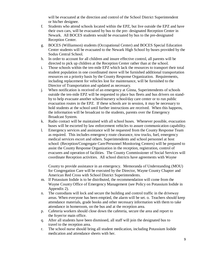will be evacuated at the direction and control of the School District Superintendent or his/her designee.

- f. Students who attend schools located within the EPZ, but live outside the EPZ and have their own cars, will be evacuated by bus to the pre- designated Reception Center in Newark. All BOCES students would be evacuated by bus to the pre-designated Reception Center.
- g. BOCES (Williamson) students (Occupational Center) and BOCES Special Education Center students will be evacuated to the Newark High School by buses provided by the Sodus Central School.
- h. In order to account for all children and insure effective control, all parents will be directed to pick up children at the Reception Center rather than at the school.
- i. Those schools within the ten-mile EPZ which lack the resources to transport their total student population in one coordinated move will be furnished additional transportation resources on a priority basis by the County Response Organization. Requirements, including replacement for vehicles lost for maintenance, will be furnished to the Director of Transportation and updated as necessary.
- j. When notification is received of an emergency at Ginna, Superintendents of schools outside the ten-mile EPZ will be requested to place bus fleets and bus drivers on standby to help evacuate another school/nursery school/day care center or to run public evacuation routes in the EPZ. If these schools are in session, it may be necessary to hold students at the school until further instructions are received. When this happens, the information will be broadcast to the students, parents over the Emergency Broadcast System.
- k. Radio contact will be maintained with all school buses. Whenever possible, evacuation buses will be escorted by law enforcement vehicles to assure communication capability.
- l. Emergency services and assistance will be requested from the County Response Team as required. This includes emergency route clearance, tow trucks, fuel, emergency medical services escort and others. Superintendents and school personnel at host school: (Reception/Congregate Care/Personnel Monitoring Centers) will be prepared to assist the County Response Organization in the reception, registration, control of evacuees and operation of facilities. The County Commissioner of Social Services will coordinate Reception activities. All school districts have agreements with Wayne

County to provide assistance in an emergency. Memoranda of Understanding (MOU) for Congregation Care will be executed by the Director, Wayne County Chapter and American Red Cross with School District Superintendents.

- m. If Potassium Iodide is to be distributed, the recommendation will come from the Wayne County Office of Emergency Management (see Policy on Potassium Iodide in Appendix 2).
- n. The custodians will lock and secure the building and control traffic in the driveway areas. When everyone has been emptied, the alarm will be set. o. Teachers should keep attendance materials, grade books and other necessary information with them to take attendance in homeroom, on the bus and at the reception area.
- p. Cafeteria workers should close down the cafeteria, secure the area and report to the foyer/or main office.
- q. After all students have been dismissed, all staff will join the designated bus to travel to the reception area.
- r. The school nurse should bring all student medication, including Potassium Iodide medication and attendance sheets with her.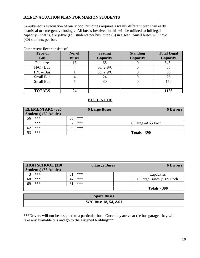# **B.1.b EVACUATION PLAN FOR MARION STUDENTS**

Simultaneous evacuation of our school buildings requires a totally different plan than early dismissal or emergency closings. All buses involved in this will be utilized to full legal capacity—that is, sixty-five (65) students per bus, three (3) in a seat. Small buses will have (30) students per bus.

| <b>Type of</b><br><b>Bus</b> | No. of<br><b>Buses</b> | <b>Seating</b><br><b>Capacity</b> | <b>Standing</b><br><b>Capacity</b> | <b>Total Legal</b><br>Capacity |
|------------------------------|------------------------|-----------------------------------|------------------------------------|--------------------------------|
| Full-size                    | 13                     | 65                                |                                    | 845                            |
| $H/C$ - Bus                  |                        | 36/2 WC                           |                                    | 36                             |
| $H/C - Bus$                  |                        | 56/2 WC                           |                                    | 56                             |
| <b>Small Bus</b>             |                        | 24                                |                                    | 96                             |
| <b>Small Bus</b>             |                        | 30                                |                                    | 150                            |
|                              |                        |                                   |                                    |                                |
| <b>TOTALS</b>                | 24                     |                                   |                                    | 1183                           |

Our present fleet consists of:

#### **BUS LINE UP**

|    | <b>ELEMENTARY (325)</b>       |    | <b>6 Large Buses</b> |                     | <b>6 Drivers</b> |
|----|-------------------------------|----|----------------------|---------------------|------------------|
|    | <b>Students</b> ) (60 Adults) |    |                      |                     |                  |
| 56 | ***                           | 50 | ***                  |                     |                  |
|    | ***                           |    | ***                  | 6 Large @ 65 Each   |                  |
| 62 | ***                           | 59 | ***                  |                     |                  |
| 53 | ***                           |    |                      | <b>Totals - 390</b> |                  |

| <b>HIGH SCHOOL (310)</b> |     |    | <b>6 Large Buses</b> | <b>6 Drivers</b>        |
|--------------------------|-----|----|----------------------|-------------------------|
| Students) (55 Adults)    |     |    |                      |                         |
|                          | *** | 61 | ***                  | Capacities              |
| 68                       | *** | 47 | ***                  | 6 Large Buses @ 65 Each |
| 69                       | *** |    | ***                  |                         |
|                          |     |    |                      | <b>Totals - 390</b>     |

| <b>Spare Buses</b>   |  |
|----------------------|--|
| W/C Bus: 18, 54, &61 |  |

\*\*\*Drivers will not be assigned to a particular bus. Once they arrive at the bus garage, they will take any available bus and go to the assigned building\*\*\*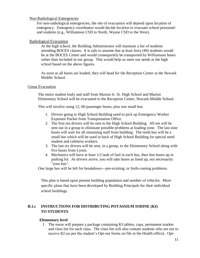#### Non-Radiological Emergencies

For non-radiological emergencies, the site of evacuation will depend upon location of emergency. Emergency coordinator would decide location to evacuate school personnel and students (e.g., Williamson CSD to North, Wayne CSD to the West).

#### Radiological Evacuation

At the high school, the Building Administrator will maintain a list of students attending BOCES classes. It is safe to assume that at least forty (40) students would be at the BOCES Center and would consequently be transported by Williamson buses rather than included in our group. This would help us meet our needs at the high school based on the above figures.

As soon as all buses are loaded, they will head for the Reception Center at the Newark Middle School.

#### Ginna Evacuation

The entire student body and staff from Marion Jr. Sr. High School and Marion Elementary School will be evacuated to the Reception Center, Newark-Middle School.

This will involve using 12, 60-passenger buses, plus one small bus.

- 1. Drivers going to High School Building need to pick up Emergency Worker Exposure Packet from Transportation Office.
- 2. The first ten drivers will be sent to the High School Building. All ten will be sent out in a group to eliminate possible problems at loading zone. The last nine buses will wait for all remaining staff from building. The tenth bus will be a small bus which will be used in back of High School Building for special need student and cafeteria workers.
- 3. The last six drivers will be sent, in a group, to the Elementary School along with five buses from Lyons.
- 4. Mechanics will have at least 1/2 tank of fuel in each bus, then line buses up in parking lot. As drivers arrive, you will take buses as lined up, not necessarily "your bus".

One large bus will be left for breakdown---pre-existing, or forth-coming problems.

This plan is based upon present building population and number of vehicles. More specific plans that have been developed by Building Principals for their individual school buildings.

# **B.1.c INSTRUCTIONS FOR DISTRIBUTING POTASSIUM IODINE (KI) TO STUDENTS**

#### **Elementary level**

1. The nurse will prepare a package containing KI tablets, cups, permanent marker and class list for each class. The class list will also contain students who are not to receive KI (as per the student's Opt-out forms on file in the Health office). Opt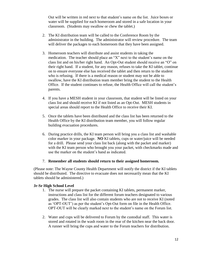Out will be written in red next to that student's name on the list. Juice boxes or water will be supplied for each homeroom and stored in a safe location in your classroom. (Students may swallow or chew the tablet.)

- 2. The KI distribution team will be called to the Conference Room by the administrator in the building. The administrator will review procedure. The team will deliver the packages to each homeroom that they have been assigned.
- 3. Homeroom teachers will distribute and assist students in taking the medication. The teacher should place an "X" next to the student's name on the class list and on his/her right hand. An Opt-Out student should receive an "O" on their right hand. If a student, for any reason, refuses to take the KI tablet, continue on to ensure everyone else has received the tablet and then return to the student who is refusing. If there is a medical reason or student may not be able to swallow, have the KI distribution team member bring the student to the Health Office. If the student continues to refuse, the Health Office will call the student's parents.
- 4. If you have a MESH student in your classroom, that student will be listed on your class list and should receive KI if not listed as an Opt-Out. MESH students in special areas should report to the Health Office to receive their KI.
- 5. Once the tablets have been distributed and the class list has been returned to the Health Office by the KI distribution team member, you will follow regular building evacuation procedures.
- 6. During practice drills, the KI team person will bring you a class list and washable color marker in your package. **NO** KI tablets, cups or water/juice will be needed for a drill. Please send your class list back (along with the packet and marker) with the KI team person who brought you your packet, with checkmarks made and use the marker on the student's hand as indicated.

#### 7. **Remember all students should return to their assigned homeroom.**

(Please note: The Wayne County Health Department will notify the district if the KI tablets should be distributed. The directive to evacuate does not necessarily mean that the KI tablets should be administered.)

#### **Jr-Sr High School Level**

- 1. The nurse will prepare the packet containing KI tablets, permanent marker, instructions and class list for the different forum teachers designated to various grades. The class list will also contain students who are not to receive KI (noted as 'OPT-OUT') as per the student's Opt-Out form on file in the Health Office. OPT-OUT will be clearly marked next to the student's name on the Forum list.
- 2. Water and cups will be delivered to Forum by the custodial staff. This water is stored and rotated in the wash room in the rear of the kitchen near the back door. A runner will bring the cups and water to the Forum teachers for distribution.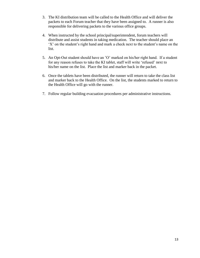- 3. The KI distribution team will be called to the Health Office and will deliver the packets to each Forum teacher that they have been assigned to. A runner is also responsible for delivering packets to the various office groups.
- 4. When instructed by the school principal/superintendent, forum teachers will distribute and assist students in taking medication. The teacher should place an 'X' on the student's right hand and mark a check next to the student's name on the list.
- 5. An Opt-Out student should have an 'O' marked on his/her right hand. If a student for any reason refuses to take the KI tablet, staff will write 'refused' next to his/her name on the list. Place the list and marker back in the packet.
- 6. Once the tablets have been distributed, the runner will return to take the class list and marker back to the Health Office. On the list, the students marked to return to the Health Office will go with the runner.
- 7. Follow regular building evacuation procedures per administrative instructions.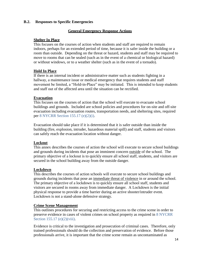#### **B.2. Responses to Specific Emergencies**

#### **General Emergency Response Actions**

#### **Shelter In Place**

This focuses on the courses of action when students and staff are required to remain indoors, perhaps for an extended period of time, because it is safer inside the building or a room than outside. Depending on the threat or hazard, students and staff may be required to move to rooms that can be sealed (such as in the event of a chemical or biological hazard) or without windows, or to a weather shelter (such as in the event of a tornado).

#### **Hold In Place**

If there is an internal incident or administrative matter such as students fighting in a hallway, a maintenance issue or medical emergency that requires students and staff movement be limited, a "Hold-in-Place" may be initiated. This is intended to keep students and staff out of the affected area until the situation can be rectified.

#### **Evacuation**

This focuses on the courses of action that the school will execute to evacuate school buildings and grounds. Included are school policies and procedures for on-site and off-site evacuation including evacuation routes, transportation needs, and sheltering sites, required per 8 NYCRR Section 155.17 (e)(2)(i).

Evacuation should take place if it is determined that it is safer outside than inside the building (fire, explosion, intruder, hazardous material spill) and staff, students and visitors can safely reach the evacuation location without danger.

#### **Lockout**

This annex describes the courses of action the school will execute to secure school buildings and grounds during incidents that pose an imminent concern outside of the school. The primary objective of a lockout is to quickly ensure all school staff, students, and visitors are secured in the school building away from the outside danger.

#### **Lockdown**

This describes the courses of action schools will execute to secure school buildings and grounds during incidents that pose an immediate threat of violence in or around the school. The primary objective of a lockdown is to quickly ensure all school staff, students and visitors are secured in rooms away from immediate danger. A Lockdown is the initial physical response to provide a time barrier during an active shooter/intruder event. Lockdown is not a stand-alone defensive strategy.

#### **Crime Scene Management**

This outlines procedures for securing and restricting access to the crime scene in order to preserve evidence in cases of violent crimes on school property as required in 8 NYCRR Section 155.17 (e)(2)(viii).

Evidence is critical to the investigation and prosecution of criminal cases. Therefore, only trained professionals should do the collection and preservation of evidence. Before those professionals arrive, it is important that the crime scene remain as uncontaminated as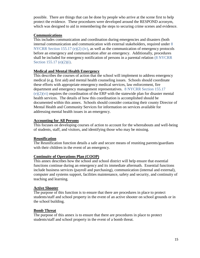possible. There are things that can be done by people who arrive at the scene first to help protect the evidence. These procedures were developed around the RESPOND acronym, which was designed to aid in remembering the steps to securing crime scenes and evidence.

#### **Communications**

This includes communication and coordination during emergencies and disasters (both internal communication and communication with external stakeholders, required under 8 NYCRR Section 155.17 (e)(2) (iv), as well as the communication of emergency protocols before an emergency and communication after an emergency. Additionally, procedures shall be included for emergency notification of persons in a parental relation (8 NYCRR Section 155.17 (e)(2)(i).

# **Medical and Mental Health Emergency**

This describes the courses of action that the school will implement to address emergency medical (e.g. first aid) and mental health counseling issues. Schools should coordinate these efforts with appropriate emergency medical services, law enforcement, fire department and emergency management representatives. 8 NYCRR Section 155.17  $(e)(2)(vi)$  requires the coordination of the ERP with the statewide plan for disaster mental health services. The details of how this coordination is accomplished should be documented within this annex. Schools should consider contacting their county Director of Mental Health and Community Services for information on services available for addressing mental health issues in an emergency.

#### **Accounting for All Persons**

This focuses on developing courses of action to account for the whereabouts and well-being of students, staff, and visitors, and identifying those who may be missing.

#### **Reunification**

The Reunification function details a safe and secure means of reuniting parents/guardians with their children in the event of an emergency.

#### **Continuity of Operations Plan (COOP)**

This annex describes how the school and school district will help ensure that essential functions continue during an emergency and its immediate aftermath. Essential functions include business services (payroll and purchasing), communication (internal and external), computer and systems support, facilities maintenance, safety and security, and continuity of teaching and learning.

#### **Active Shooter**

The purpose of this function is to ensure that there are procedures in place to protect students/staff and school property in the event of an active shooter on school grounds or in the school building.

#### **Bomb Threat**

The purpose of this annex is to ensure that there are procedures in place to protect students/staff and school property in the event of a bomb threat.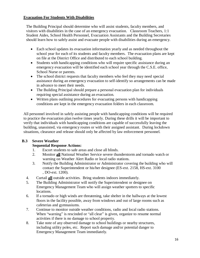# **Evacuation For Students With Disabilities**

The Building Principal should determine who will assist students, faculty members, and visitors with disabilities in the case of an emergency evacuation. Classroom Teachers, 1:1 Student Aides, School Health Personnel, Evacuation Assistants and the Building Secretaries should learn how to safely assist and evacuate people with disabilities during an emergency.

- Each school updates its evacuation information yearly and as needed throughout the school year for each of its students and faculty members. The evacuation plans are kept on file at the District Office and distributed to each school building.
- Students with handicapping conditions who will require specific assistance during an emergency evacuation will be identified each school year through the C.S.E. office, School Nurse or parents.
- The school district requests that faculty members who feel they may need special assistance during an emergency evacuation to self-identify so arrangements can be made in advance to meet their needs.
- The Building Principal should prepare a personal evacuation plan for individuals requiring special assistance during an evacuation.
- Written plans outlining procedures for evacuating persons with handicapping conditions are kept in the emergency evacuation folders in each classroom.

All personnel involved in safely assisting people with handicapping conditions will be required to practice the evacuation plan twelve times yearly. During these drills it will be important to verify that individuals with handicapping conditions are capable of successfully leaving the building, unassisted, via emergency routes or with their assigned assistant. During lockdown situations, clearance and release should only be affected by law enforcement personnel.

# **B.3 Severe Weather**

# **Sequential Response Actions:**

- 1. Escort students to safe areas and close all blinds.
- 2. Monitor **all** National Weather Service severe thunderstorm and tornado watch or warning on Weather Alert Radio or local radio stations.
- 3. Notify the Building Administrator or Administrator covering the building who will contact the Superintendent or his/her designee (ES-ext. 2158, HS-ext. 3100 , DO-ext. 1200).
- 4. Curtail **all** outside activities. Bring students indoors immediately.
- 5. The Building Administrator will notify the Superintendent or designee on Emergency Management Team who will assign weather spotters to specific locations.
- 6. If a tornado or high winds are threatening, take shelter in the hallways at the lowest floors in the facility possible, away from windows and out of large rooms such as cafeterias and gymnasiums.
- 7. Continue to monitor outside weather conditions, radio and local radio stations. When "warning" is rescinded or "all clear" is given, organize to resume normal activities if there is no damage to school property.
- 8. Take note of any observed damage to school buildings or nearby structures, including utility poles, etc. Report such damage and/or potential danger to Emergency Management Team immediately.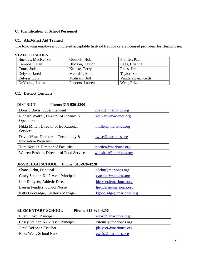# **C. Identification of School Personnel**

### **C1. AED/First Aid Trained**

The following employees completed acceptable first-aid training or are licensed providers for Health Care:

#### **STAFF/COACHES**

| Buckles, MacKenzie | Goodell, Bob    | Pfeiffer, Paul    |
|--------------------|-----------------|-------------------|
| Campbell, Dan      | Hudson, Taylor  | Raes, Brianne     |
| Court, Jodee       | Krocke, Terry   | Reiss, Jim        |
| Delyser, Jared     | Metcalfe, Mark  | Taylor, Sue       |
| Delyser, Lori      | Molisani, Jeff  | Vanderzwan, Keith |
| DeYoung, Laura     | Penders, Lauren | Weis, Eliza       |

#### **C2. District Contacts**

#### **DISTRICT Phone: 315-926-2300**

| Donald Bavis, Superintendent                                          | dbavis@marioncs.org   |
|-----------------------------------------------------------------------|-----------------------|
| Richard Walker, Director of Finance &<br>Operations                   | rwalker@marioncs.org  |
| Nikki Miller, Director of Educational<br><b>Services</b>              | nmiller@marioncs.org  |
| David Wise, Director of Technology $\&$<br><b>Innovative Programs</b> | dwise@marioncs.org    |
| Tom Nortier, Director of Facilities                                   | tnortier@marioncs.org |
| Warren Bushart, Director of Food Services                             | wbushart@marioncs.org |

#### **JR-SR HIGH SCHOOL Phone: 315-926-4228**

| Shane Dehn, Principal               | sdehn@marioncs.org      |
|-------------------------------------|-------------------------|
| Casey Steiner, K-12 Asst. Principal | csteiner@marioncs.org   |
| Lori DeLyser, Athletic Director     | ldelyser@marioncs.org   |
| Lauren Penders, School Nurse        | lpenders@marioncs.org   |
| Kitty Goodridge, Cafeteria Manager  | kgoodridge@marioncs.org |
|                                     |                         |

# **ELEMENTARY SCHOOL Phone: 315-926-4256**

| Ellen Lloyd, Principal              | elloyd@marioncs.org   |
|-------------------------------------|-----------------------|
| Casey Steiner, K-12 Asst. Principal | csteiner@marioncs.org |
| Jared DeLyser, Teacher              | jdelyser@marioncs.org |
| Eliza Weis, School Nurse            | eweis@marioncs.org    |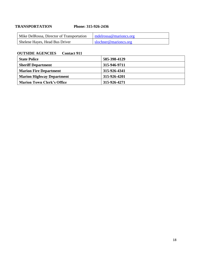# **TRANSPORTATION Phone: 315-926-2436**

| Mike DelRossa, Director of Transportation | medrossa@mariones.org |
|-------------------------------------------|-----------------------|
| Shelene Hayes, Head Bus Driver            | slochner@marioncs.org |

# **OUTSIDE AGENCIES Contact 911**

| <b>State Police</b>               | 585-398-4129 |
|-----------------------------------|--------------|
| <b>Sheriff Department</b>         | 315-946-9711 |
| <b>Marion Fire Department</b>     | 315-926-4341 |
| <b>Marion Highway Department</b>  | 315-926-4201 |
| <b>Marion Town Clerk's Office</b> | 315-926-4271 |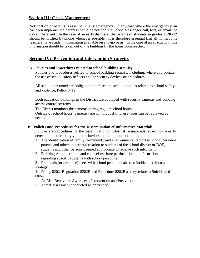# **Section III: Crisis Management**

Notification of parents is essential in any emergency. In any case where the emergency plan has been implemented parents should be notified via SchoolMessenger call, text, or email the day of the event. In the case of an early dismissal the parents of students in grades **UPK-12** should be notified by phone whenever possible. It is therefore essential that all homerooms teachers have student information available on a to-go basis. In the case of an evacuation, this information should be taken out of the building by the homeroom teacher.

# **Section IV: Prevention and Intervention Strategies**

#### **A. Policies and Procedures related to school building security**

Policies and procedures related to school building security, including, where appropriate, the use of school safety officers and/or security devices or procedures.

All school personnel are obligated to enforce the school policies related to school safety and violence, Policy 3412.

Both education buildings in the District are equipped with security cameras and building access control systems.

The District monitors the cameras during regular school hours.

Outside of school hours, cameras tape continuously. These tapes can be reviewed as needed.

#### **B. Policies and Procedures for the Dissemination of Informative Materials**

Policies and procedures for the dissemination of informative materials regarding the early detection of potentially violent behaviors including, but not limited to:

- 1. The identification of family, community and environmental factors to school personnel, parents and others in parental relation to students of the school district or BOE, students and other persons deemed appropriate to receive such information.
- 2. Building Administrators and counselors share pertinent intake information regarding specific students with school personnel.
- 3. Principals (or designee) meet with school personnel after an incident to discuss strategy.

4. Policy 8202, Regulation 8202R and Procedure 8202P as they relate to Suicide and **Other** 

At-Risk Behavior: Awareness, Intervention and Postvention.

5. Threat assessment conducted when needed.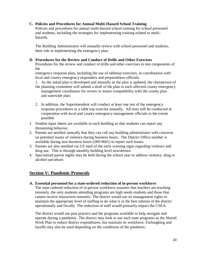#### **C. Policies and Procedures for Annual Multi-Hazard School Training**

Policies and procedures for annual multi-hazard school training for school personnel and students, including the strategies for implementing training related to multihazards.

The Building Administrator will annually review with school personnel and students, their role in implementing the emergency plan.

#### **D. Procedures for the Review and Conduct of Drills and Other Exercises**

Procedures for the review and conduct of drills and other exercises to test components of the

emergency response plan**,** including the use of tabletop exercises, in coordination with local and county emergency responders and preparedness officials.

- 1. As the initial plan is developed and annually as the plan is updated, the chairperson of the planning committee will submit a draft of the plan to each affected county emergency management coordinator for review to insure compatibility with the county plan and statewide plan.
- 2. In addition, the Superintendent will conduct at least one test of the emergency response procedures or a table top exercise annually. All tests will be conducted in cooperation with local and county emergency management officials to the extent possible.
- 1. Student input sheets are available in each building so that students can report any threatening behavior.
- 2. Parents are notified annually that they can call any building administrator with concerns on potential issues of violence during business hours. The District Office number is available during non-business hours (589-9661) to report such issues.
- 3. Parents are also notified via US mail of the early warning signs regarding violence and drug use. This is through monthly building level newsletters.
- 4. Specialized parent nights may be held during the school year to address violence, drug or alcohol use/abuse.

# **Section V: Pandemic Protocols**

**A. Essential personnel for a state-ordered reduction of in-person workforce**

The state-ordered reduction of in-person workforce assumes that teachers are teaching remotely, the only students attending programs are high needs students and those that cannot receive instruction remotely. The district would use its management rights to maintain the appropriate level of staffing to do what is in the best interest of the district operationally and fiscally. The reduction of staff would primarily impact the CSEA.

The district would use past practice and the programs available to help navigate and operate during a pandemic. The district may look to use such state programs as the Shared Work Plan to reduce district expenditures, but maintain its workforce. Furloughing and layoffs may also be used depending on the conditions of the pandemic.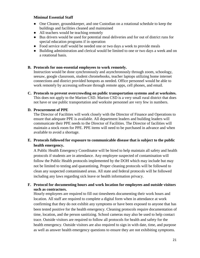#### **Minimal Essential Staff**

- One Cleaner, groundskeeper, and one Custodian on a rotational schedule to keep the buildings and facilities cleaned and maintained
- All teachers would be teaching remotely
- Bus drivers would be used for potential meal deliveries and for out of district runs for special education programs if in operation
- Food service staff would be needed one or two days a week to provide meals
- Building administration and clerical would be limited to one or two days a week and on a rotational basis.

# **B. Protocols for non-essential employees to work remotely.**

Instruction would be done synchronously and asynchronously through zoom, schoology, seesaw, google classroom, student chromebooks, teacher laptops utilizing home internet connections and district provided hotspots as needed. Office personnel would be able to work remotely by accessing software through remote apps, cell phones, and email.

**C. Protocols to prevent overcrowding on public transportation systems and at worksites.** This does not apply to the Marion CSD. Marion CSD is a very small rural district that does not have or use public transportation and worksite personnel are very few in numbers.

# **D. Procurement of PPE**

The Director of Facilities will work closely with the Director of Finance and Operations to ensure that adequate PPE is available. All department leaders and building leaders will communicate their PPE needs to the Director of Facilities. The Director of facilities will maintain a stock room for PPE. PPE items will need to be purchased in advance and when available to avoid a shortage.

# **E. Protocols followed for exposure to communicable disease that is subject to the public health emergency.**

A Public Health Emergency Coordinator will be hired to help maintain all safety and health protocols if students are in attendance. Any employee suspected of contamination will follow the Public Health protocols implemented by the DOH which may include but may not be limited to testing and quarantining. Proper cleaning protocols will be followed to clean any suspected contaminated areas. All state and federal protocols will be followed including any laws regarding sick leave or health information privacy.

#### **F. Protocol for documenting hours and work location for employees and outside visitors such as contractors.**

Hourly employees are required to fill out timesheets documenting their work hours and location. All staff are required to complete a digital form when in attendance at work confirming that they do not exhibit any symptoms or have been exposed to anyone that has been tested positive for the health emergency. Cleaning protocols require documentation of time, location, and the person sanitizing. School cameras may also be used to help contact trace. Outside visitors are required to follow all protocols for health and safety for the health emergency. Outside visitors are also required to sign in with date, time, and purpose as well as answer health emergency questions to ensure they are not exhibiting symptoms.